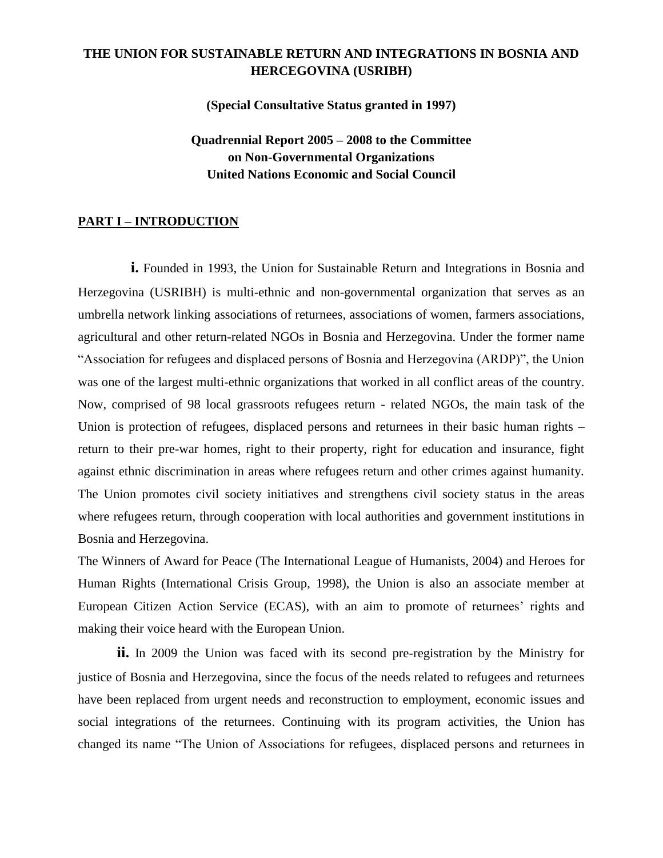## **THE UNION FOR SUSTAINABLE RETURN AND INTEGRATIONS IN BOSNIA AND HERCEGOVINA (USRIBH)**

**(Special Consultative Status granted in 1997)**

**Quadrennial Report 2005 – 2008 to the Committee on Non-Governmental Organizations United Nations Economic and Social Council**

### **PART I – INTRODUCTION**

**i.** Founded in 1993, the Union for Sustainable Return and Integrations in Bosnia and Herzegovina (USRIBH) is multi-ethnic and non-governmental organization that serves as an umbrella network linking associations of returnees, associations of women, farmers associations, agricultural and other return-related NGOs in Bosnia and Herzegovina. Under the former name "Association for refugees and displaced persons of Bosnia and Herzegovina (ARDP)", the Union was one of the largest multi-ethnic organizations that worked in all conflict areas of the country. Now, comprised of 98 local grassroots refugees return - related NGOs, the main task of the Union is protection of refugees, displaced persons and returnees in their basic human rights – return to their pre-war homes, right to their property, right for education and insurance, fight against ethnic discrimination in areas where refugees return and other crimes against humanity. The Union promotes civil society initiatives and strengthens civil society status in the areas where refugees return, through cooperation with local authorities and government institutions in Bosnia and Herzegovina.

The Winners of Award for Peace (The International League of Humanists, 2004) and Heroes for Human Rights (International Crisis Group, 1998), the Union is also an associate member at European Citizen Action Service (ECAS), with an aim to promote of returnees' rights and making their voice heard with the European Union.

**ii.** In 2009 the Union was faced with its second pre-registration by the Ministry for justice of Bosnia and Herzegovina, since the focus of the needs related to refugees and returnees have been replaced from urgent needs and reconstruction to employment, economic issues and social integrations of the returnees. Continuing with its program activities, the Union has changed its name "The Union of Associations for refugees, displaced persons and returnees in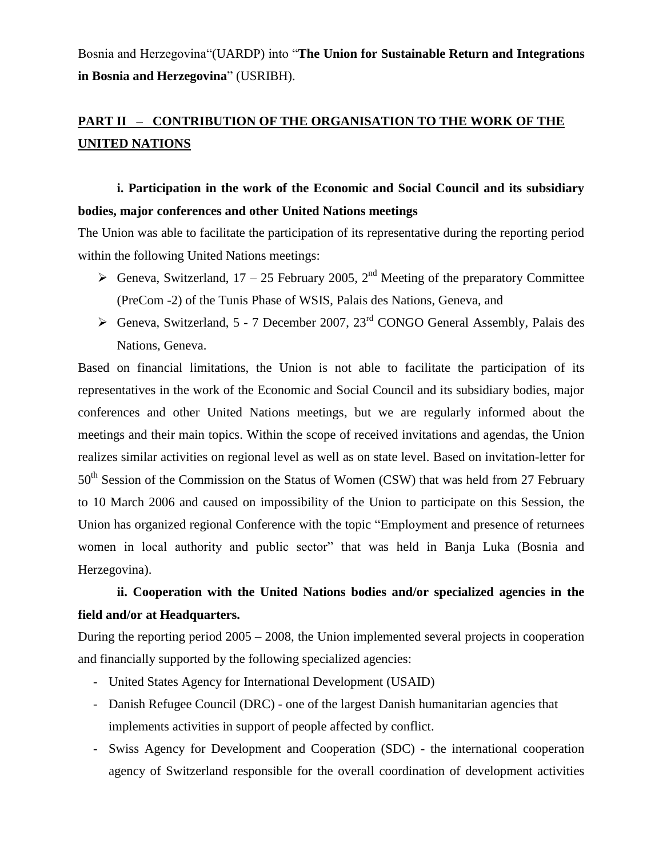Bosnia and Herzegovina"(UARDP) into "**The Union for Sustainable Return and Integrations in Bosnia and Herzegovina**" (USRIBH).

# **PART II – CONTRIBUTION OF THE ORGANISATION TO THE WORK OF THE UNITED NATIONS**

# **i. Participation in the work of the Economic and Social Council and its subsidiary bodies, major conferences and other United Nations meetings**

The Union was able to facilitate the participation of its representative during the reporting period within the following United Nations meetings:

- Geneva, Switzerland, 17 25 February 2005,  $2<sup>nd</sup>$  Meeting of the preparatory Committee (PreCom -2) of the Tunis Phase of WSIS, Palais des Nations, Geneva, and
- $\triangleright$  Geneva, Switzerland, 5 7 December 2007, 23<sup>rd</sup> CONGO General Assembly, Palais des Nations, Geneva.

Based on financial limitations, the Union is not able to facilitate the participation of its representatives in the work of the Economic and Social Council and its subsidiary bodies, major conferences and other United Nations meetings, but we are regularly informed about the meetings and their main topics. Within the scope of received invitations and agendas, the Union realizes similar activities on regional level as well as on state level. Based on invitation-letter for 50<sup>th</sup> Session of the Commission on the Status of Women (CSW) that was held from 27 February to 10 March 2006 and caused on impossibility of the Union to participate on this Session, the Union has organized regional Conference with the topic "Employment and presence of returnees women in local authority and public sector" that was held in Banja Luka (Bosnia and Herzegovina).

## **ii. Cooperation with the United Nations bodies and/or specialized agencies in the field and/or at Headquarters.**

During the reporting period 2005 – 2008, the Union implemented several projects in cooperation and financially supported by the following specialized agencies:

- United States Agency for International Development (USAID)
- Danish Refugee Council (DRC) one of the largest Danish humanitarian agencies that implements activities in support of people affected by conflict.
- Swiss Agency for Development and Cooperation (SDC) the international cooperation agency of Switzerland responsible for the overall coordination of development activities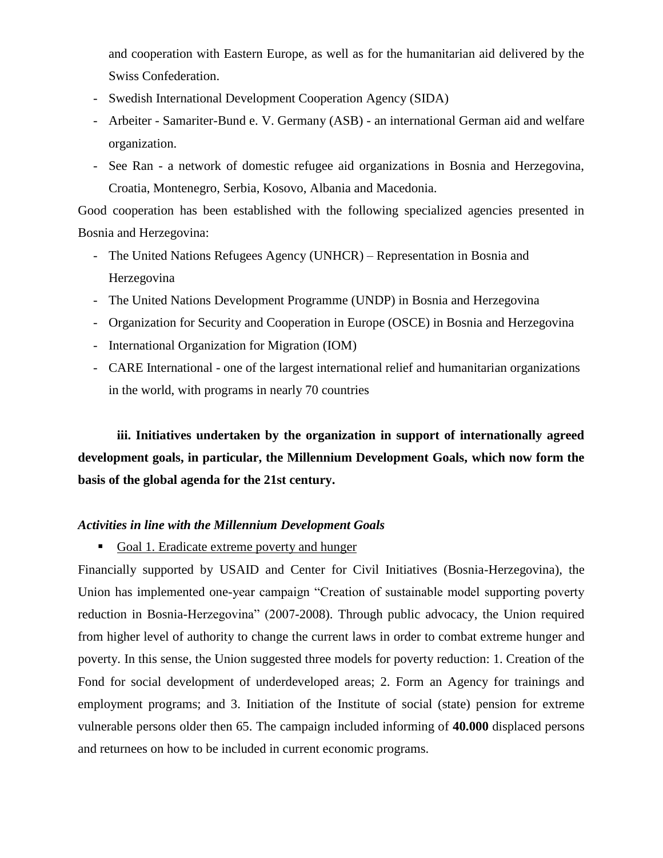and cooperation with Eastern Europe, as well as for the humanitarian aid delivered by the Swiss Confederation.

- Swedish International Development Cooperation Agency (SIDA)
- Arbeiter Samariter-Bund e. V. Germany (ASB) an international German aid and welfare organization.
- See Ran a network of domestic refugee aid organizations in Bosnia and Herzegovina, Croatia, Montenegro, Serbia, Kosovo, Albania and Macedonia.

Good cooperation has been established with the following specialized agencies presented in Bosnia and Herzegovina:

- The United Nations Refugees Agency (UNHCR) Representation in Bosnia and Herzegovina
- The United Nations Development Programme (UNDP) in Bosnia and Herzegovina
- Organization for Security and Cooperation in Europe (OSCE) in Bosnia and Herzegovina
- International Organization for Migration (IOM)
- CARE International one of the largest international relief and humanitarian organizations in the world, with programs in nearly 70 countries

**iii. Initiatives undertaken by the organization in support of internationally agreed development goals, in particular, the Millennium Development Goals, which now form the basis of the global agenda for the 21st century.**

#### *Activities in line with the Millennium Development Goals*

Goal 1. Eradicate extreme poverty and hunger

Financially supported by USAID and Center for Civil Initiatives (Bosnia-Herzegovina), the Union has implemented one-year campaign "Creation of sustainable model supporting poverty reduction in Bosnia-Herzegovina" (2007-2008). Through public advocacy, the Union required from higher level of authority to change the current laws in order to combat extreme hunger and poverty. In this sense, the Union suggested three models for poverty reduction: 1. Creation of the Fond for social development of underdeveloped areas; 2. Form an Agency for trainings and employment programs; and 3. Initiation of the Institute of social (state) pension for extreme vulnerable persons older then 65. The campaign included informing of **40.000** displaced persons and returnees on how to be included in current economic programs.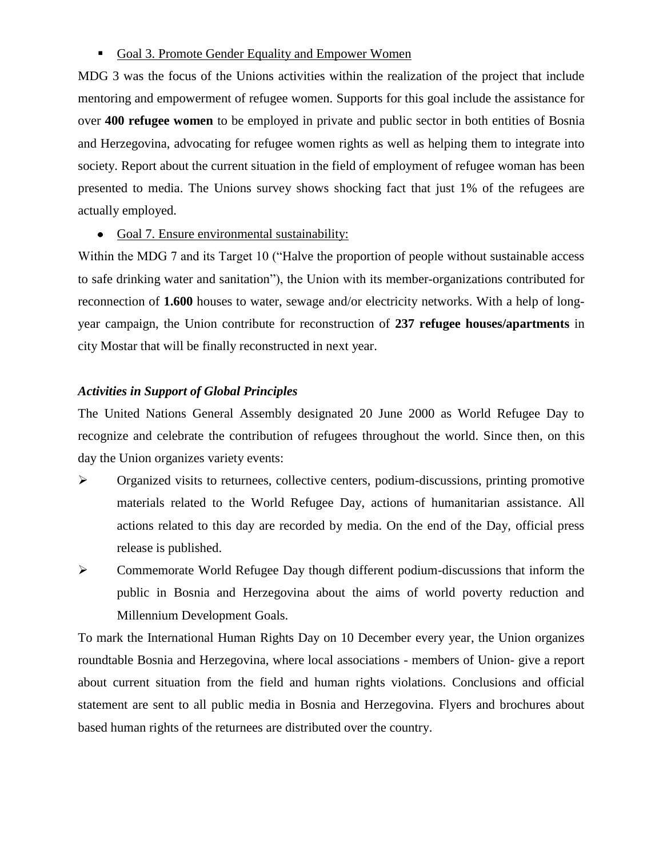### Goal 3. Promote Gender Equality and Empower Women

MDG 3 was the focus of the Unions activities within the realization of the project that include mentoring and empowerment of refugee women. Supports for this goal include the assistance for over **400 refugee women** to be employed in private and public sector in both entities of Bosnia and Herzegovina, advocating for refugee women rights as well as helping them to integrate into society. Report about the current situation in the field of employment of refugee woman has been presented to media. The Unions survey shows shocking fact that just 1% of the refugees are actually employed.

Goal 7. Ensure environmental sustainability:

Within the MDG 7 and its Target 10 ("Halve the proportion of people without sustainable access to safe drinking water and sanitation"), the Union with its member-organizations contributed for reconnection of **1.600** houses to water, sewage and/or electricity networks. With a help of longyear campaign, the Union contribute for reconstruction of **237 refugee houses/apartments** in city Mostar that will be finally reconstructed in next year.

#### *Activities in Support of Global Principles*

The United Nations General Assembly designated 20 June 2000 as World Refugee Day to recognize and celebrate the contribution of refugees throughout the world. Since then, on this day the Union organizes variety events:

- $\triangleright$  Organized visits to returnees, collective centers, podium-discussions, printing promotive materials related to the World Refugee Day, actions of humanitarian assistance. All actions related to this day are recorded by media. On the end of the Day, official press release is published.
- Commemorate World Refugee Day though different podium-discussions that inform the public in Bosnia and Herzegovina about the aims of world poverty reduction and Millennium Development Goals.

To mark the International Human Rights Day on 10 December every year, the Union organizes roundtable Bosnia and Herzegovina, where local associations - members of Union- give a report about current situation from the field and human rights violations. Conclusions and official statement are sent to all public media in Bosnia and Herzegovina. Flyers and brochures about based human rights of the returnees are distributed over the country.